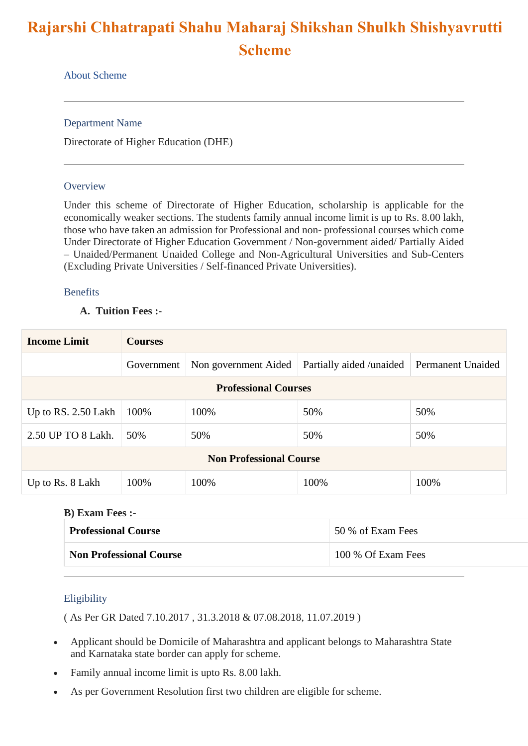# **Rajarshi Chhatrapati Shahu Maharaj Shikshan Shulkh Shishyavrutti Scheme**

## About Scheme

Department Name

Directorate of Higher Education (DHE)

## **Overview**

Under this scheme of Directorate of Higher Education, scholarship is applicable for the economically weaker sections. The students family annual income limit is up to Rs. 8.00 lakh, those who have taken an admission for Professional and non- professional courses which come Under Directorate of Higher Education Government / Non-government aided/ Partially Aided – Unaided/Permanent Unaided College and Non-Agricultural Universities and Sub-Centers (Excluding Private Universities / Self-financed Private Universities).

## Benefits

## **A. Tuition Fees :-**

| <b>Income Limit</b>            | <b>Courses</b> |                      |                          |                   |  |
|--------------------------------|----------------|----------------------|--------------------------|-------------------|--|
|                                | Government     | Non government Aided | Partially aided /unaided | Permanent Unaided |  |
| <b>Professional Courses</b>    |                |                      |                          |                   |  |
| Up to RS. $2.50$ Lakh          | 100%           | 100%                 | 50%                      | 50%               |  |
| 2.50 UP TO 8 Lakh.             | 50%            | 50%                  | 50%                      | 50%               |  |
| <b>Non Professional Course</b> |                |                      |                          |                   |  |
| Up to Rs. 8 Lakh               | 100%           | 100%                 | 100%                     | 100%              |  |

## **B) Exam Fees :-**

| <b>Professional Course</b>     | 50 % of Exam Fees  |  |
|--------------------------------|--------------------|--|
| <b>Non Professional Course</b> | 100 % Of Exam Fees |  |

## Eligibility

( As Per GR Dated 7.10.2017 , 31.3.2018 & 07.08.2018, 11.07.2019 )

- Applicant should be Domicile of Maharashtra and applicant belongs to Maharashtra State and Karnataka state border can apply for scheme.
- Family annual income limit is upto Rs. 8.00 lakh.
- As per Government Resolution first two children are eligible for scheme.